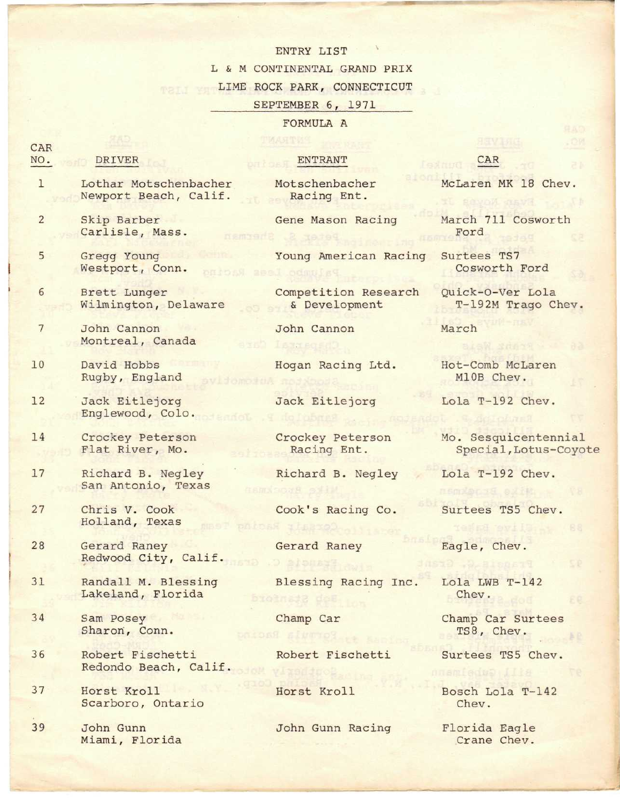## ENTRY LIST

L & M CONTINENTAL GRAND PRIX

LIME ROCK PARK, CONNECTICUT

## SEPTEMBER 6, 1971

## FORMULA A

Crane Chev.

| CAR             |                                                  |                                       |                                               |
|-----------------|--------------------------------------------------|---------------------------------------|-----------------------------------------------|
| NO.             | DRIVER                                           | ENTRANT                               | CAR                                           |
| $\mathbf{1}$    | Lothar Motschenbacher<br>Newport Beach, Calif.   | Motschenbacher<br>Racing Ent.         | McLaren MK 18 Chev.                           |
| $\overline{2}$  | Skip Barber<br>Carlisle, Mass.<br><b>DEMSAGE</b> | Gene Mason Racing                     | March 711 Cosworth<br>Ford                    |
| 5               | Gregg Young<br>Westport, Conn.<br>barasi         | Young American Racing<br>apol odmny   | Surtees TS7<br>Cosworth Ford                  |
| 6               | Brett Lunger<br>Wilmington, Delaware             | Competition Research<br>& Development | Quick-O-Ver Lola<br>T-192M Trago Chev.        |
| $7\phantom{.0}$ | John Cannon<br>Montreal, Canada                  | John Cannon                           | March                                         |
| 10              | David Hobbs<br>Rugby, England                    | Hogan Racing Ltd.                     | Hot-Comb McLaren<br>M10B Chev.                |
| 12              | Jack Eitlejorg<br>Englewood, Colo.               | Jack Eitlejorg                        | Lola T-192 Chev.                              |
| 14              | Crockey Peterson<br>Flat River, Mo.              | Crockey Peterson<br>Racing Ent.       | Mo. Sesquicentennial<br>Special, Lotus-Coyote |
| 17              | Richard B. Negley<br>San Antonio, Texas          | Richard B. Negley                     | Lola T-192 Chev.                              |
| 27              | Chris V. Cook<br>Holland, Texas                  | Cook's Racing Co.                     | Surtees TS5 Chev.                             |
| 28              | Gerard Raney<br>Redwood City, Calif.             | Gerard Raney                          | Eagle, Chev.                                  |
| 31              | Randall M. Blessing<br>Lakeland, Florida         | Blessing Racing Inc.<br>broinate des  | Lola LWB T-142<br>Chev.<br>活息                 |
| 34              | Sam Posey<br>Sharon, Conn.                       | Champ Car<br>Pormula Racing           | Champ Car Surtees<br>TS8, Chev.               |
| 36              | Robert Fischetti<br>Redondo Beach, Calif.        | Robert Fischetti                      | Surtees TS5 Chev.<br>Bill Cubalmann           |
| 37              | Horst Kroll<br>Scarboro, Ontario                 | Horst Kroll                           | Bosch Lola T-142<br>Chev.                     |
| 39              | John Gunn                                        | John Gunn Racing                      | Florida Eagle                                 |

Miami, Florida